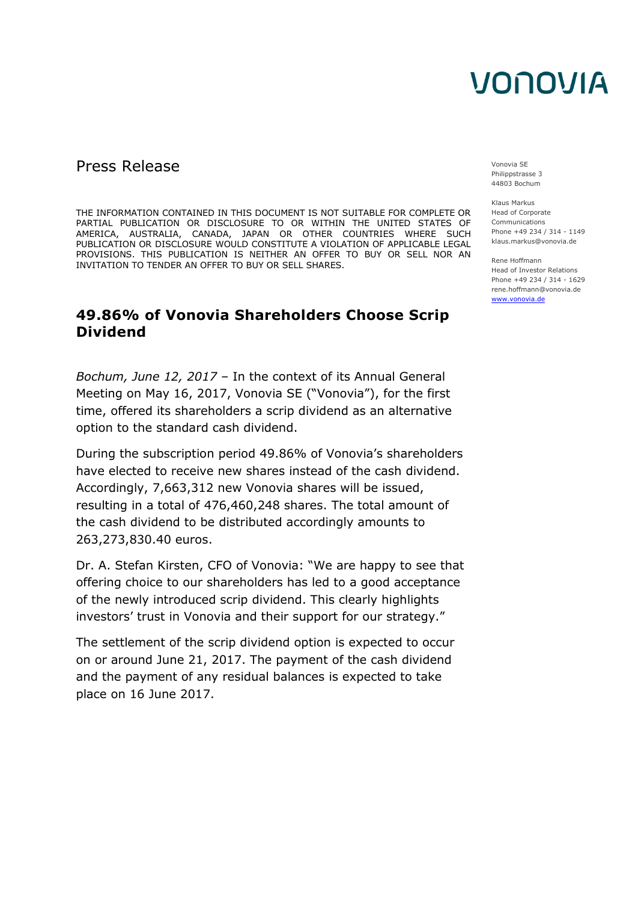## VONOVIA

### Press Release Vonovia SE

THE INFORMATION CONTAINED IN THIS DOCUMENT IS NOT SUITABLE FOR COMPLETE OR PARTIAL PUBLICATION OR DISCLOSURE TO OR WITHIN THE UNITED STATES OF AMERICA, AUSTRALIA, CANADA, JAPAN OR OTHER COUNTRIES WHERE SUCH PUBLICATION OR DISCLOSURE WOULD CONSTITUTE A VIOLATION OF APPLICABLE LEGAL PROVISIONS. THIS PUBLICATION IS NEITHER AN OFFER TO BUY OR SELL NOR AN INVITATION TO TENDER AN OFFER TO BUY OR SELL SHARES.

### **49.86% of Vonovia Shareholders Choose Scrip Dividend**

*Bochum, June 12, 2017* – In the context of its Annual General Meeting on May 16, 2017, Vonovia SE ("Vonovia"), for the first time, offered its shareholders a scrip dividend as an alternative option to the standard cash dividend.

During the subscription period 49.86% of Vonovia's shareholders have elected to receive new shares instead of the cash dividend. Accordingly, 7,663,312 new Vonovia shares will be issued, resulting in a total of 476,460,248 shares. The total amount of the cash dividend to be distributed accordingly amounts to 263,273,830.40 euros.

Dr. A. Stefan Kirsten, CFO of Vonovia: "We are happy to see that offering choice to our shareholders has led to a good acceptance of the newly introduced scrip dividend. This clearly highlights investors' trust in Vonovia and their support for our strategy."

The settlement of the scrip dividend option is expected to occur on or around June 21, 2017. The payment of the cash dividend and the payment of any residual balances is expected to take place on 16 June 2017.

Philippstrasse 3 44803 Bochum

Klaus Markus Head of Corporate Communications Phone +49 234 / 314 - 1149 klaus.markus@vonovia.de

Rene Hoffmann Head of Investor Relations Phone +49 234 / 314 - 1629 rene.hoffmann@vonovia.de [www.vonovia.de](http://www.vonovia.de/)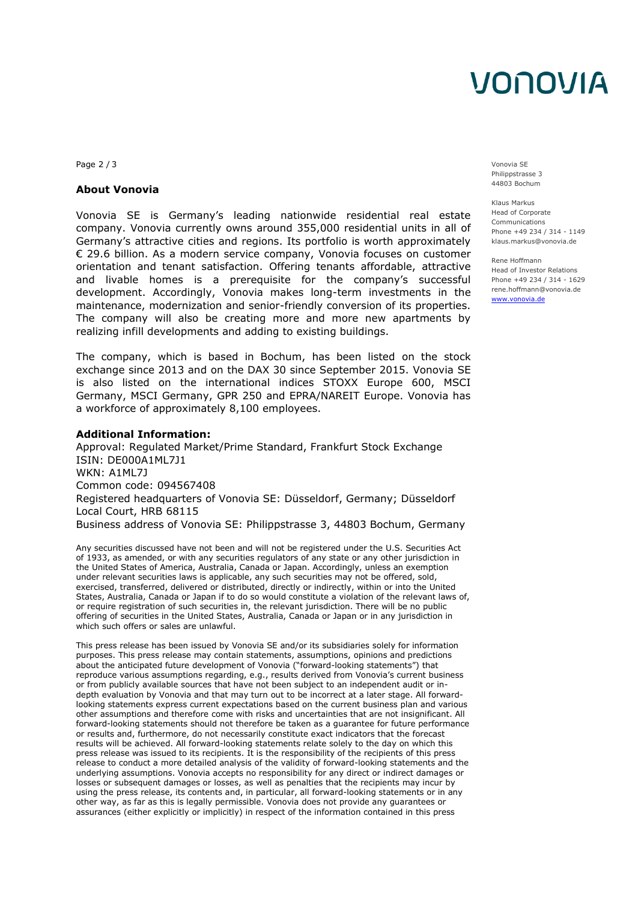## VONOVIA

Page 2 / 3 Vonovia SE

#### **About Vonovia**

Vonovia SE is Germany's leading nationwide residential real estate company. Vonovia currently owns around 355,000 residential units in all of Germany's attractive cities and regions. Its portfolio is worth approximately € 29.6 billion. As a modern service company, Vonovia focuses on customer orientation and tenant satisfaction. Offering tenants affordable, attractive and livable homes is a prerequisite for the company's successful development. Accordingly, Vonovia makes long-term investments in the maintenance, modernization and senior-friendly conversion of its properties. The company will also be creating more and more new apartments by realizing infill developments and adding to existing buildings.

The company, which is based in Bochum, has been listed on the stock exchange since 2013 and on the DAX 30 since September 2015. Vonovia SE is also listed on the international indices STOXX Europe 600, MSCI Germany, MSCI Germany, GPR 250 and EPRA/NAREIT Europe. Vonovia has a workforce of approximately 8,100 employees.

#### **Additional Information:**

Approval: Regulated Market/Prime Standard, Frankfurt Stock Exchange ISIN: DE000A1ML7J1 WKN: A1ML7J Common code: 094567408 Registered headquarters of Vonovia SE: Düsseldorf, Germany; Düsseldorf Local Court, HRB 68115 Business address of Vonovia SE: Philippstrasse 3, 44803 Bochum, Germany

Any securities discussed have not been and will not be registered under the U.S. Securities Act of 1933, as amended, or with any securities regulators of any state or any other jurisdiction in the United States of America, Australia, Canada or Japan. Accordingly, unless an exemption under relevant securities laws is applicable, any such securities may not be offered, sold, exercised, transferred, delivered or distributed, directly or indirectly, within or into the United States, Australia, Canada or Japan if to do so would constitute a violation of the relevant laws of, or require registration of such securities in, the relevant jurisdiction. There will be no public offering of securities in the United States, Australia, Canada or Japan or in any jurisdiction in which such offers or sales are unlawful.

This press release has been issued by Vonovia SE and/or its subsidiaries solely for information purposes. This press release may contain statements, assumptions, opinions and predictions about the anticipated future development of Vonovia ("forward-looking statements") that reproduce various assumptions regarding, e.g., results derived from Vonovia's current business or from publicly available sources that have not been subject to an independent audit or indepth evaluation by Vonovia and that may turn out to be incorrect at a later stage. All forwardlooking statements express current expectations based on the current business plan and various other assumptions and therefore come with risks and uncertainties that are not insignificant. All forward-looking statements should not therefore be taken as a guarantee for future performance or results and, furthermore, do not necessarily constitute exact indicators that the forecast results will be achieved. All forward-looking statements relate solely to the day on which this press release was issued to its recipients. It is the responsibility of the recipients of this press release to conduct a more detailed analysis of the validity of forward-looking statements and the underlying assumptions. Vonovia accepts no responsibility for any direct or indirect damages or losses or subsequent damages or losses, as well as penalties that the recipients may incur by using the press release, its contents and, in particular, all forward-looking statements or in any other way, as far as this is legally permissible. Vonovia does not provide any guarantees or assurances (either explicitly or implicitly) in respect of the information contained in this press

Philippstrasse 3 44803 Bochum

Klaus Markus Head of Corporate Communications Phone +49 234 / 314 - 1149 klaus.markus@vonovia.de

Rene Hoffmann Head of Investor Relations Phone +49 234 / 314 - 1629 rene.hoffmann@vonovia.de [www.vonovia.de](http://www.vonovia.de/)